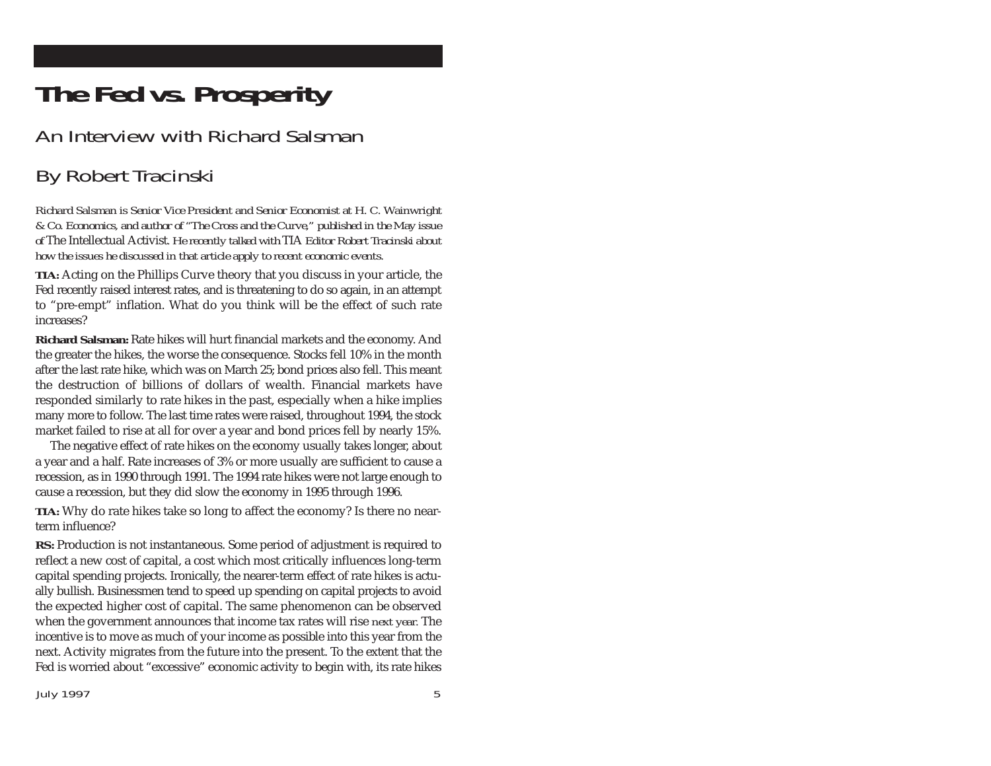## **The Fed vs. Prosperity**

## An Interview with Richard Salsman

## By Robert Tracinski

*Richard Salsman is Senior Vice President and Senior Economist at H. C. Wainwright & Co. Economics, and author of "The Cross and the Curve," published in the May issue of* The Intellectual Activist*. He recently talked with* TIA *Editor Robert Tracinski about how the issues he discussed in that article apply to recent economic events.*

*TIA:* Acting on the Phillips Curve theory that you discuss in your article, the Fed recently raised interest rates, and is threatening to do so again, in an attempt to "pre-empt" inflation. What do you think will be the effect of such rate increases?

**Richard Salsman:** Rate hikes will hurt financial markets and the economy. And the greater the hikes, the worse the consequence. Stocks fell 10% in the month after the last rate hike, which was on March 25; bond prices also fell. This meant the destruction of billions of dollars of wealth. Financial markets have responded similarly to rate hikes in the past, especially when a hike implies many more to follow. The last time rates were raised, throughout 1994, the stock market failed to rise at all for over a year and bond prices fell by nearly 15%.

The negative effect of rate hikes on the economy usually takes longer, about a year and a half. Rate increases of 3% or more usually are sufficient to cause a recession, as in 1990 through 1991. The 1994 rate hikes were not large enough to cause a recession, but they did slow the economy in 1995 through 1996.

*TIA:* Why do rate hikes take so long to affect the economy? Is there no nearterm influence?

RS: Production is not instantaneous. Some period of adjustment is required to reflect a new cost of capital, a cost which most critically influences long-term capital spending projects. Ironically, the nearer-term effect of rate hikes is actually bullish. Businessmen tend to speed up spending on capital projects to avoid the expected higher cost of capital. The same phenomenon can be observed when the government announces that income tax rates will rise *next year.* The incentive is to move as much of your income as possible into this year from the next. Activity migrates from the future into the present. To the extent that the Fed is worried about "excessive" economic activity to begin with, its rate hikes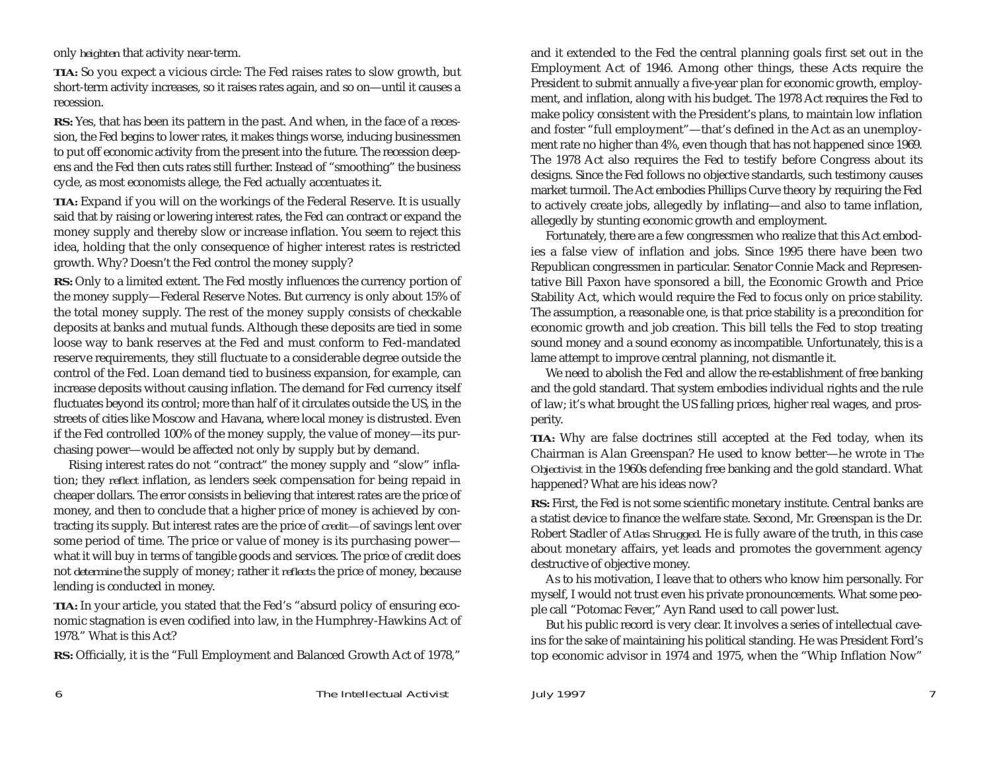only *heighten* that activity near-term.

*TIA:* So you expect a vicious circle: The Fed raises rates to slow growth, but short-term activity increases, so it raises rates again, and so on—until it causes a recession.

**RS:** Yes, that has been its pattern in the past. And when, in the face of a recession, the Fed begins to lower rates, it makes things worse, inducing businessmen to put off economic activity from the present into the future. The recession deepens and the Fed then cuts rates still further. Instead of "smoothing" the business cycle, as most economists allege, the Fed actually accentuates it.

*TIA:* Expand if you will on the workings of the Federal Reserve. It is usually said that by raising or lowering interest rates, the Fed can contract or expand the money supply and thereby slow or increase inflation. You seem to reject this idea, holding that the only consequence of higher interest rates is restricted growth. Why? Doesn't the Fed control the money supply?

**RS:** Only to a limited extent. The Fed mostly influences the currency portion of the money supply—Federal Reserve Notes. But currency is only about 15% of the total money supply. The rest of the money supply consists of checkable deposits at banks and mutual funds. Although these deposits are tied in some loose way to bank reserves at the Fed and must conform to Fed-mandated reserve requirements, they still fluctuate to a considerable degree outside the control of the Fed. Loan demand tied to business expansion, for example, can increase deposits without causing inflation. The demand for Fed currency itself fluctuates beyond its control; more than half of it circulates outside the US, in the streets of cities like Moscow and Havana, where local money is distrusted. Even if the Fed controlled 100% of the money supply, the value of money—its purchasing power—would be affected not only by supply but by demand.

Rising interest rates do not "contract" the money supply and "slow" inflation; they *reflect* inflation, as lenders seek compensation for being repaid in cheaper dollars. The error consists in believing that interest rates are the price of money, and then to conclude that a higher price of money is achieved by contracting its supply. But interest rates are the price of *credit—*of savings lent over some period of time. The price or value of money is its purchasing power what it will buy in terms of tangible goods and services. The price of credit does not *determine* the supply of money; rather it *reflects* the price of money, because lending is conducted in money.

*TIA:* In your article, you stated that the Fed's "absurd policy of ensuring economic stagnation is even codified into law, in the Humphrey-Hawkins Act of 1978." What is this Act?

**RS:** Officially, it is the "Full Employment and Balanced Growth Act of 1978,"

and it extended to the Fed the central planning goals first set out in the Employment Act of 1946. Among other things, these Acts require the President to submit annually a five-year plan for economic growth, employment, and inflation, along with his budget. The 1978 Act requires the Fed to make policy consistent with the President's plans, to maintain low inflation and foster "full employment"—that's defined in the Act as an unemployment rate no higher than 4%, even though that has not happened since 1969. The 1978 Act also requires the Fed to testify before Congress about its designs. Since the Fed follows no objective standards, such testimony causes market turmoil. The Act embodies Phillips Curve theory by requiring the Fed to actively create jobs, allegedly by inflating—and also to tame inflation, allegedly by stunting economic growth and employment.

Fortunately, there are a few congressmen who realize that this Act embodies a false view of inflation and jobs. Since 1995 there have been two Republican congressmen in particular. Senator Connie Mack and Representative Bill Paxon have sponsored a bill, the Economic Growth and Price Stability Act, which would require the Fed to focus only on price stability. The assumption, a reasonable one, is that price stability is a precondition for economic growth and job creation. This bill tells the Fed to stop treating sound money and a sound economy as incompatible. Unfortunately, this is a lame attempt to improve central planning, not dismantle it.

We need to abolish the Fed and allow the re-establishment of free banking and the gold standard. That system embodies individual rights and the rule of law; it's what brought the US falling prices, higher real wages, and prosperity.

*TIA:* Why are false doctrines still accepted at the Fed today, when its Chairman is Alan Greenspan? He used to know better—he wrote in *The Objectivist* in the 1960s defending free banking and the gold standard. What happened? What are his ideas now?

**RS:** First, the Fed is not some scientific monetary institute. Central banks are a statist device to finance the welfare state. Second, Mr. Greenspan is the Dr. Robert Stadler of *Atlas Shrugged.* He is fully aware of the truth, in this case about monetary affairs, yet leads and promotes the government agency destructive of objective money.

As to his motivation, I leave that to others who know him personally. For myself, I would not trust even his private pronouncements. What some people call "Potomac Fever," Ayn Rand used to call power lust.

But his public record is very clear. It involves a series of intellectual caveins for the sake of maintaining his political standing. He was President Ford's top economic advisor in 1974 and 1975, when the "Whip Inflation Now"